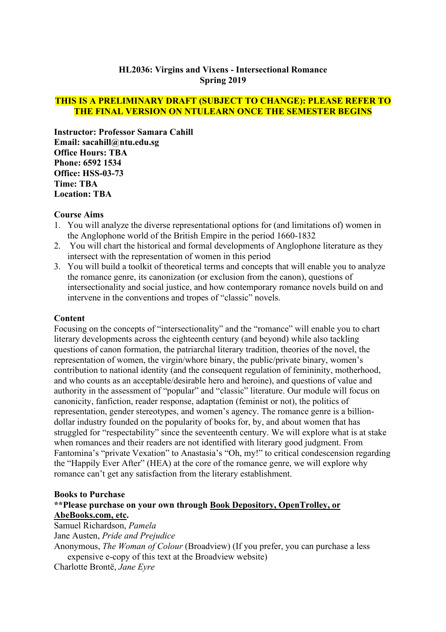# **HL2036: Virgins and Vixens - Intersectional Romance Spring 2019**

#### **THIS IS A PRELIMINARY DRAFT (SUBJECT TO CHANGE): PLEASE REFER TO THE FINAL VERSION ON NTULEARN ONCE THE SEMESTER BEGINS**

**Instructor: Professor Samara Cahill Email: sacahill@ntu.edu.sg Office Hours: TBA Phone: 6592 1534 Office: HSS-03-73 Time: TBA Location: TBA**

#### **Course Aims**

- 1. You will analyze the diverse representational options for (and limitations of) women in the Anglophone world of the British Empire in the period 1660-1832
- 2. You will chart the historical and formal developments of Anglophone literature as they intersect with the representation of women in this period
- 3. You will build a toolkit of theoretical terms and concepts that will enable you to analyze the romance genre, its canonization (or exclusion from the canon), questions of intersectionality and social justice, and how contemporary romance novels build on and intervene in the conventions and tropes of "classic" novels.

#### **Content**

Focusing on the concepts of "intersectionality" and the "romance" will enable you to chart literary developments across the eighteenth century (and beyond) while also tackling questions of canon formation, the patriarchal literary tradition, theories of the novel, the representation of women, the virgin/whore binary, the public/private binary, women's contribution to national identity (and the consequent regulation of femininity, motherhood, and who counts as an acceptable/desirable hero and heroine), and questions of value and authority in the assessment of "popular" and "classic" literature. Our module will focus on canonicity, fanfiction, reader response, adaptation (feminist or not), the politics of representation, gender stereotypes, and women's agency. The romance genre is a billiondollar industry founded on the popularity of books for, by, and about women that has struggled for "respectability" since the seventeenth century. We will explore what is at stake when romances and their readers are not identified with literary good judgment. From Fantomina's "private Vexation" to Anastasia's "Oh, my!" to critical condescension regarding the "Happily Ever After" (HEA) at the core of the romance genre, we will explore why romance can't get any satisfaction from the literary establishment.

# **Books to Purchase**

# **\*\*Please purchase on your own through Book Depository, OpenTrolley, or AbeBooks.com, etc.**

Samuel Richardson, *Pamela*

Jane Austen, *Pride and Prejudice*

Anonymous, *The Woman of Colour* (Broadview) (If you prefer, you can purchase a less expensive e-copy of this text at the Broadview website)

Charlotte Brontë, *Jane Eyre*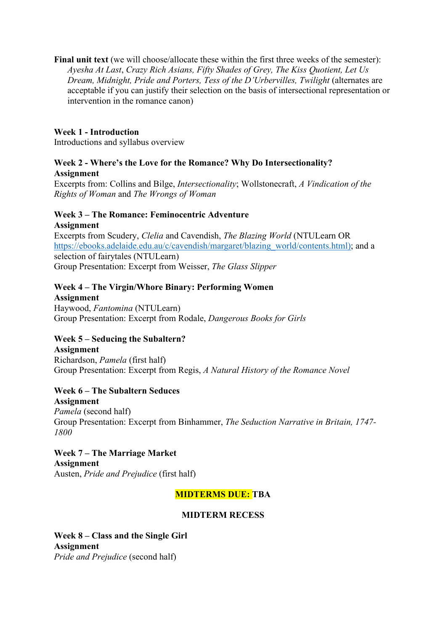**Final unit text** (we will choose/allocate these within the first three weeks of the semester): *Ayesha At Last*, *Crazy Rich Asians, Fifty Shades of Grey, The Kiss Quotient, Let Us Dream, Midnight, Pride and Porters, Tess of the D'Urbervilles, Twilight (alternates are* acceptable if you can justify their selection on the basis of intersectional representation or intervention in the romance canon)

#### **Week 1 - Introduction**

Introductions and syllabus overview

#### **Week 2 - Where's the Love for the Romance? Why Do Intersectionality? Assignment**

Excerpts from: Collins and Bilge, *Intersectionality*; Wollstonecraft, *A Vindication of the Rights of Woman* and *The Wrongs of Woman*

#### **Week 3 – The Romance: Feminocentric Adventure Assignment**

Excerpts from Scudery, *Clelia* and Cavendish, *The Blazing World* (NTULearn OR [https://ebooks.adelaide.edu.au/c/cavendish/margaret/blazing\\_world/contents.html\);](https://ebooks.adelaide.edu.au/c/cavendish/margaret/blazing_world/contents.html)) and a selection of fairytales (NTULearn) Group Presentation: Excerpt from Weisser, *The Glass Slipper*

# **Week 4 – The Virgin/Whore Binary: Performing Women**

**Assignment** Haywood, *Fantomina* (NTULearn) Group Presentation: Excerpt from Rodale, *Dangerous Books for Girls*

# **Week 5 – Seducing the Subaltern?**

**Assignment** Richardson, *Pamela* (first half) Group Presentation: Excerpt from Regis, *A Natural History of the Romance Novel*

# **Week 6 – The Subaltern Seduces**

**Assignment**

*Pamela* (second half) Group Presentation: Excerpt from Binhammer, *The Seduction Narrative in Britain, 1747- 1800*

**Week 7 – The Marriage Market Assignment** Austen, *Pride and Prejudice* (first half)

# **MIDTERMS DUE: TBA**

# **MIDTERM RECESS**

**Week 8 – Class and the Single Girl Assignment** *Pride and Prejudice* (second half)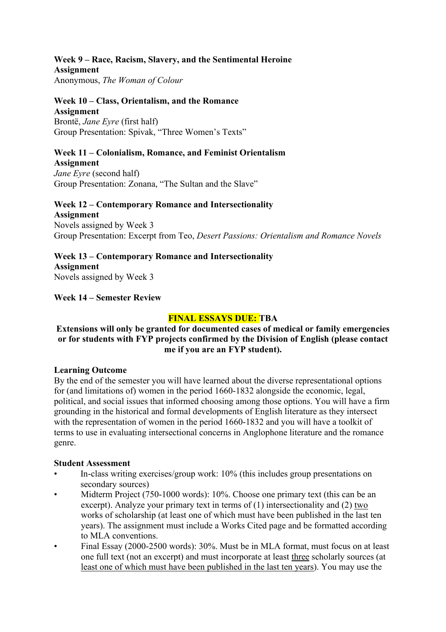#### **Week 9 – Race, Racism, Slavery, and the Sentimental Heroine Assignment**

Anonymous, *The Woman of Colour*

#### **Week 10 – Class, Orientalism, and the Romance Assignment** Brontë, *Jane Eyre* (first half)

Group Presentation: Spivak, "Three Women's Texts"

# **Week 11 – Colonialism, Romance, and Feminist Orientalism**

**Assignment** *Jane Eyre* (second half) Group Presentation: Zonana, "The Sultan and the Slave"

#### **Week 12 – Contemporary Romance and Intersectionality Assignment** Novels assigned by Week 3 Group Presentation: Excerpt from Teo, *Desert Passions: Orientalism and Romance Novels*

**Week 13 – Contemporary Romance and Intersectionality Assignment** Novels assigned by Week 3

**Week 14 – Semester Review**

# **FINAL ESSAYS DUE: TBA**

#### **Extensions will only be granted for documented cases of medical or family emergencies or for students with FYP projects confirmed by the Division of English (please contact me if you are an FYP student).**

# **Learning Outcome**

By the end of the semester you will have learned about the diverse representational options for (and limitations of) women in the period 1660-1832 alongside the economic, legal, political, and social issues that informed choosing among those options. You will have a firm grounding in the historical and formal developments of English literature as they intersect with the representation of women in the period 1660-1832 and you will have a toolkit of terms to use in evaluating intersectional concerns in Anglophone literature and the romance genre.

# **Student Assessment**

- In-class writing exercises/group work: 10% (this includes group presentations on secondary sources)
- Midterm Project (750-1000 words): 10%. Choose one primary text (this can be an excerpt). Analyze your primary text in terms of (1) intersectionality and (2) two works of scholarship (at least one of which must have been published in the last ten years). The assignment must include a Works Cited page and be formatted according to MLA conventions.
- Final Essay (2000-2500 words): 30%. Must be in MLA format, must focus on at least one full text (not an excerpt) and must incorporate at least three scholarly sources (at least one of which must have been published in the last ten years). You may use the